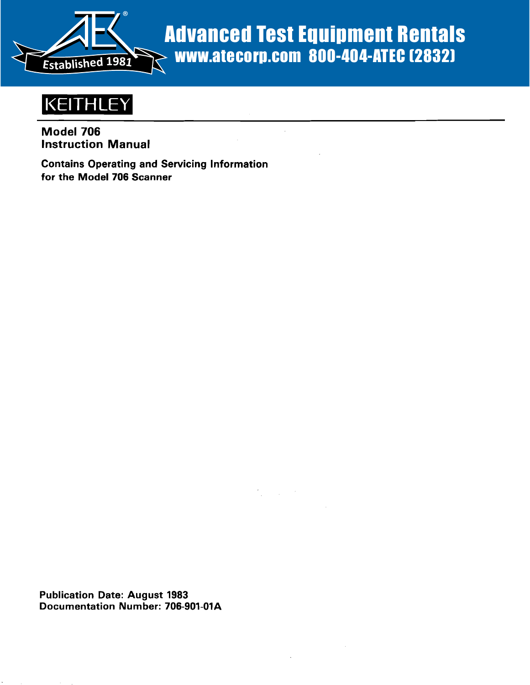

# Advanced Test Equipment Rentals www.atecorp.com 800-404-ATEC (2832)



# Model 706 Instruction Manual

Contains Operating and Servicing Information for the Model 706 Scanner

Publication Date: August 1983 Documentation Number: 706-901-01A